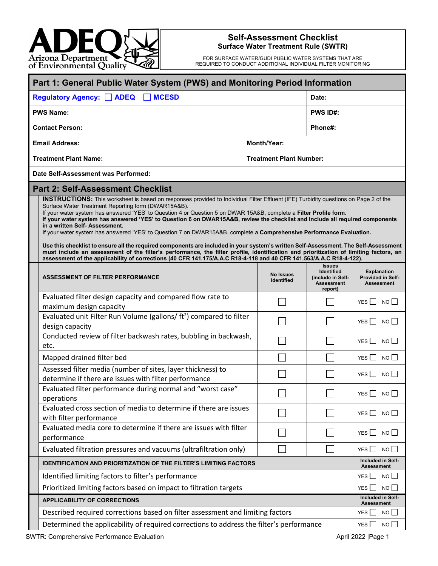

## **Self-Assessment Checklist Surface Water Treatment Rule (SWTR)**

FOR SURFACE WATER/GUDI PUBLIC WATER SYSTEMS THAT ARE REQUIRED TO CONDUCT ADDITIONAL INDIVIDUAL FILTER MONITORING

| Part 1: General Public Water System (PWS) and Monitoring Period Information                                                                                                                                                                                                                                                                                                                                                                                                                                                                                                                                                                                                                                                                                                                                                                                                                                                                                                                                        |                                |                                                                                         |                                                              |  |  |
|--------------------------------------------------------------------------------------------------------------------------------------------------------------------------------------------------------------------------------------------------------------------------------------------------------------------------------------------------------------------------------------------------------------------------------------------------------------------------------------------------------------------------------------------------------------------------------------------------------------------------------------------------------------------------------------------------------------------------------------------------------------------------------------------------------------------------------------------------------------------------------------------------------------------------------------------------------------------------------------------------------------------|--------------------------------|-----------------------------------------------------------------------------------------|--------------------------------------------------------------|--|--|
| <b>MCESD</b><br>Regulatory Agency: ADEQ                                                                                                                                                                                                                                                                                                                                                                                                                                                                                                                                                                                                                                                                                                                                                                                                                                                                                                                                                                            |                                |                                                                                         |                                                              |  |  |
| <b>PWS Name:</b>                                                                                                                                                                                                                                                                                                                                                                                                                                                                                                                                                                                                                                                                                                                                                                                                                                                                                                                                                                                                   |                                | <b>PWS ID#:</b>                                                                         |                                                              |  |  |
| Phone#:<br><b>Contact Person:</b>                                                                                                                                                                                                                                                                                                                                                                                                                                                                                                                                                                                                                                                                                                                                                                                                                                                                                                                                                                                  |                                |                                                                                         |                                                              |  |  |
| <b>Email Address:</b><br><b>Month/Year:</b>                                                                                                                                                                                                                                                                                                                                                                                                                                                                                                                                                                                                                                                                                                                                                                                                                                                                                                                                                                        |                                |                                                                                         |                                                              |  |  |
| <b>Treatment Plant Name:</b><br><b>Treatment Plant Number:</b>                                                                                                                                                                                                                                                                                                                                                                                                                                                                                                                                                                                                                                                                                                                                                                                                                                                                                                                                                     |                                |                                                                                         |                                                              |  |  |
| Date Self-Assessment was Performed:                                                                                                                                                                                                                                                                                                                                                                                                                                                                                                                                                                                                                                                                                                                                                                                                                                                                                                                                                                                |                                |                                                                                         |                                                              |  |  |
| <b>Part 2: Self-Assessment Checklist</b>                                                                                                                                                                                                                                                                                                                                                                                                                                                                                                                                                                                                                                                                                                                                                                                                                                                                                                                                                                           |                                |                                                                                         |                                                              |  |  |
| INSTRUCTIONS: This worksheet is based on responses provided to Individual Filter Effluent (IFE) Turbidity questions on Page 2 of the<br>Surface Water Treatment Reporting form (DWAR15A&B).<br>If your water system has answered 'YES' to Question 4 or Question 5 on DWAR 15A&B, complete a Filter Profile form.<br>If your water system has answered 'YES' to Question 6 on DWAR15A&B, review the checklist and include all required components<br>in a written Self- Assessment.<br>If your water system has answered 'YES' to Question 7 on DWAR15A&B, complete a Comprehensive Performance Evaluation.<br>Use this checklist to ensure all the required components are included in your system's written Self-Assessment. The Self-Assessment<br>must include an assessment of the filter's performance, the filter profile, identification and prioritization of limiting factors, an<br>assessment of the applicability of corrections (40 CFR 141.175/A.A.C R18-4-118 and 40 CFR 141.563/A.A.C R18-4-122). |                                |                                                                                         |                                                              |  |  |
| <b>ASSESSMENT OF FILTER PERFORMANCE</b>                                                                                                                                                                                                                                                                                                                                                                                                                                                                                                                                                                                                                                                                                                                                                                                                                                                                                                                                                                            | <b>No Issues</b><br>Identified | <b>Issues</b><br><b>Identified</b><br>(include in Self-<br><b>Assessment</b><br>report) | <b>Explanation</b><br>Provided in Self-<br><b>Assessment</b> |  |  |
| Evaluated filter design capacity and compared flow rate to<br>maximum design capacity                                                                                                                                                                                                                                                                                                                                                                                                                                                                                                                                                                                                                                                                                                                                                                                                                                                                                                                              |                                |                                                                                         | YES    <br>NO II                                             |  |  |
| Evaluated unit Filter Run Volume (gallons/ ft <sup>2</sup> ) compared to filter<br>design capacity                                                                                                                                                                                                                                                                                                                                                                                                                                                                                                                                                                                                                                                                                                                                                                                                                                                                                                                 |                                |                                                                                         | YES $\Box$ NO $\Box$                                         |  |  |
| Conducted review of filter backwash rates, bubbling in backwash,<br>etc.                                                                                                                                                                                                                                                                                                                                                                                                                                                                                                                                                                                                                                                                                                                                                                                                                                                                                                                                           |                                |                                                                                         | YES $\Box$<br>NO                                             |  |  |
| Mapped drained filter bed                                                                                                                                                                                                                                                                                                                                                                                                                                                                                                                                                                                                                                                                                                                                                                                                                                                                                                                                                                                          |                                |                                                                                         | YES $\Box$ NO $\Box$                                         |  |  |
| Assessed filter media (number of sites, layer thickness) to<br>determine if there are issues with filter performance                                                                                                                                                                                                                                                                                                                                                                                                                                                                                                                                                                                                                                                                                                                                                                                                                                                                                               |                                |                                                                                         | YES NO                                                       |  |  |
| Evaluated filter performance during normal and "worst case"<br>operations                                                                                                                                                                                                                                                                                                                                                                                                                                                                                                                                                                                                                                                                                                                                                                                                                                                                                                                                          |                                |                                                                                         | YES $\Box$<br>$NO$ $\Box$                                    |  |  |
| Evaluated cross section of media to determine if there are issues<br>with filter performance                                                                                                                                                                                                                                                                                                                                                                                                                                                                                                                                                                                                                                                                                                                                                                                                                                                                                                                       |                                |                                                                                         | YES $\Box$ NO $\Box$                                         |  |  |
| Evaluated media core to determine if there are issues with filter<br>performance                                                                                                                                                                                                                                                                                                                                                                                                                                                                                                                                                                                                                                                                                                                                                                                                                                                                                                                                   |                                |                                                                                         | YES I<br>$NO$ $\Box$                                         |  |  |
| Evaluated filtration pressures and vacuums (ultrafiltration only)                                                                                                                                                                                                                                                                                                                                                                                                                                                                                                                                                                                                                                                                                                                                                                                                                                                                                                                                                  |                                |                                                                                         | NO<br>YES                                                    |  |  |
| <b>IDENTIFICATION AND PRIORITIZATION OF THE FILTER'S LIMITING FACTORS</b>                                                                                                                                                                                                                                                                                                                                                                                                                                                                                                                                                                                                                                                                                                                                                                                                                                                                                                                                          |                                |                                                                                         |                                                              |  |  |
| Identified limiting factors to filter's performance                                                                                                                                                                                                                                                                                                                                                                                                                                                                                                                                                                                                                                                                                                                                                                                                                                                                                                                                                                |                                |                                                                                         | YES<br>$NO$ $\Box$                                           |  |  |
| Prioritized limiting factors based on impact to filtration targets                                                                                                                                                                                                                                                                                                                                                                                                                                                                                                                                                                                                                                                                                                                                                                                                                                                                                                                                                 |                                |                                                                                         |                                                              |  |  |
| <b>APPLICABILITY OF CORRECTIONS</b>                                                                                                                                                                                                                                                                                                                                                                                                                                                                                                                                                                                                                                                                                                                                                                                                                                                                                                                                                                                |                                |                                                                                         |                                                              |  |  |
| Described required corrections based on filter assessment and limiting factors<br>YES                                                                                                                                                                                                                                                                                                                                                                                                                                                                                                                                                                                                                                                                                                                                                                                                                                                                                                                              |                                |                                                                                         |                                                              |  |  |
| Determined the applicability of required corrections to address the filter's performance<br>YES $\Box$                                                                                                                                                                                                                                                                                                                                                                                                                                                                                                                                                                                                                                                                                                                                                                                                                                                                                                             |                                |                                                                                         |                                                              |  |  |